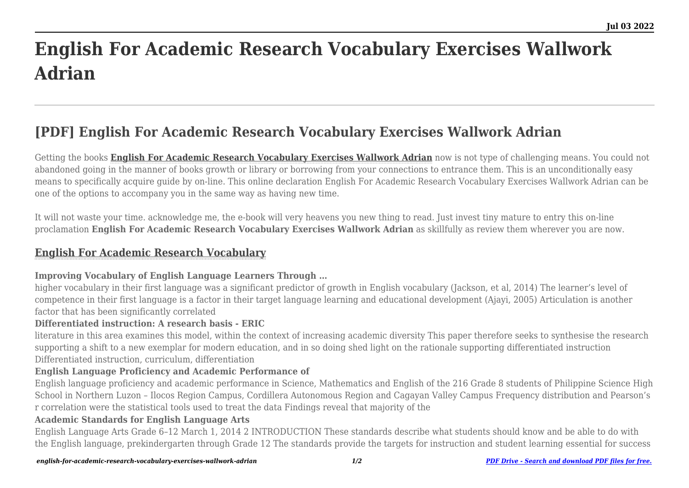# **English For Academic Research Vocabulary Exercises Wallwork Adrian**

# **[PDF] English For Academic Research Vocabulary Exercises Wallwork Adrian**

Getting the books **[English For Academic Research Vocabulary Exercises Wallwork Adrian](https://uniport.edu.ng)** now is not type of challenging means. You could not abandoned going in the manner of books growth or library or borrowing from your connections to entrance them. This is an unconditionally easy means to specifically acquire guide by on-line. This online declaration English For Academic Research Vocabulary Exercises Wallwork Adrian can be one of the options to accompany you in the same way as having new time.

It will not waste your time. acknowledge me, the e-book will very heavens you new thing to read. Just invest tiny mature to entry this on-line proclamation **English For Academic Research Vocabulary Exercises Wallwork Adrian** as skillfully as review them wherever you are now.

# **[English For Academic Research Vocabulary](https://uniport.edu.ng/english-for-academic-research-vocabulary-exercises-wallwork-adrian.pdf)**

# **Improving Vocabulary of English Language Learners Through …**

higher vocabulary in their first language was a significant predictor of growth in English vocabulary (Jackson, et al, 2014) The learner's level of competence in their first language is a factor in their target language learning and educational development (Ajayi, 2005) Articulation is another factor that has been significantly correlated

# **Differentiated instruction: A research basis - ERIC**

literature in this area examines this model, within the context of increasing academic diversity This paper therefore seeks to synthesise the research supporting a shift to a new exemplar for modern education, and in so doing shed light on the rationale supporting differentiated instruction Differentiated instruction, curriculum, differentiation

# **English Language Proficiency and Academic Performance of**

English language proficiency and academic performance in Science, Mathematics and English of the 216 Grade 8 students of Philippine Science High School in Northern Luzon – Ilocos Region Campus, Cordillera Autonomous Region and Cagayan Valley Campus Frequency distribution and Pearson's r correlation were the statistical tools used to treat the data Findings reveal that majority of the

# **Academic Standards for English Language Arts**

English Language Arts Grade 6–12 March 1, 2014 2 INTRODUCTION These standards describe what students should know and be able to do with the English language, prekindergarten through Grade 12 The standards provide the targets for instruction and student learning essential for success